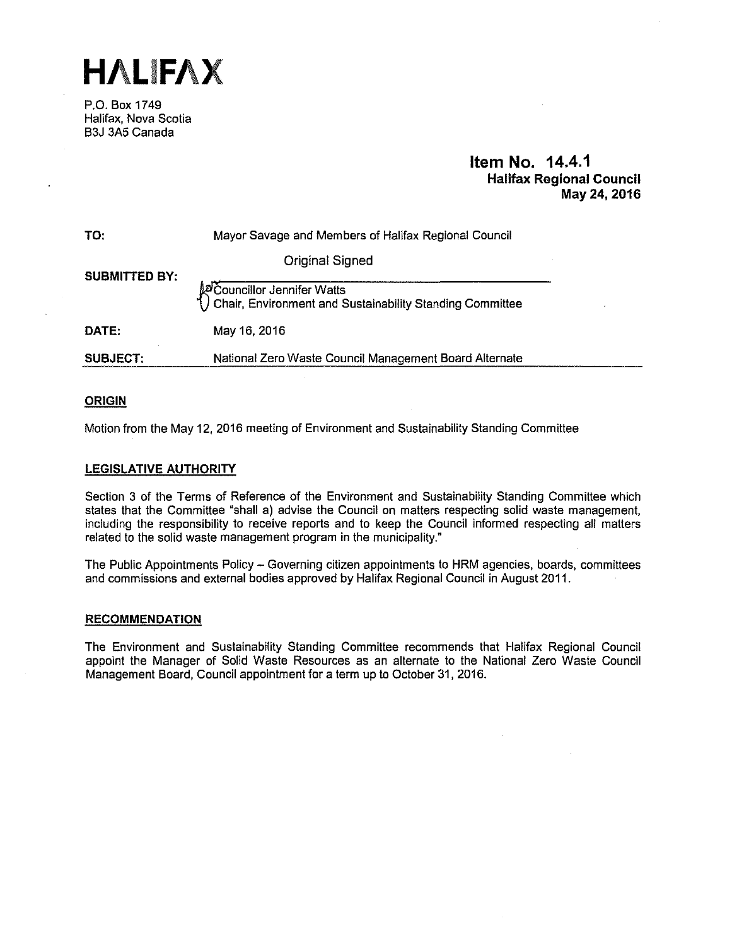**HALIFAX** 

P.O. Box 1749 Halifax, Nova Scotia B3J 3A5 Canada

# **Item No. 14.4.1 Halifax Regional Council May 24, 2016**

| TO:                  | Mayor Savage and Members of Halifax Regional Council                                       |  |
|----------------------|--------------------------------------------------------------------------------------------|--|
| <b>SUBMITTED BY:</b> | Original Signed                                                                            |  |
|                      | Macouncillor Jennifer Watts<br>() Chair, Environment and Sustainability Standing Committee |  |
| DATE:                | May 16, 2016                                                                               |  |
| SUBJECT.             | National Zero Waste Council Management Board Alternate                                     |  |

# **ORIGIN**

Motion from the May 12, 2016 meeting of Environment and Sustainability Standing Committee

# **LEGISLATIVE AUTHORITY**

Section 3 of the Terms of Reference of the Environment and Sustainability Standing Committee which states that the Committee "shall a) advise the Council on matters respecting solid waste management, including the responsibility to receive reports and to keep the Council informed respecting all matters related to the solid waste management program in the municipality."

The Public Appointments Policy - Governing citizen appointments to HRM agencies, boards, committees and commissions and external bodies approved by Halifax Regional Council in August 2011.

## **RECOMMENDATION**

The Environment and Sustainability Standing Committee recommends that Halifax Regional Council appoint the Manager of Solid Waste Resources as an alternate to the National Zero Waste Council Management Board, Council appointment for a term up to October 31, 2016.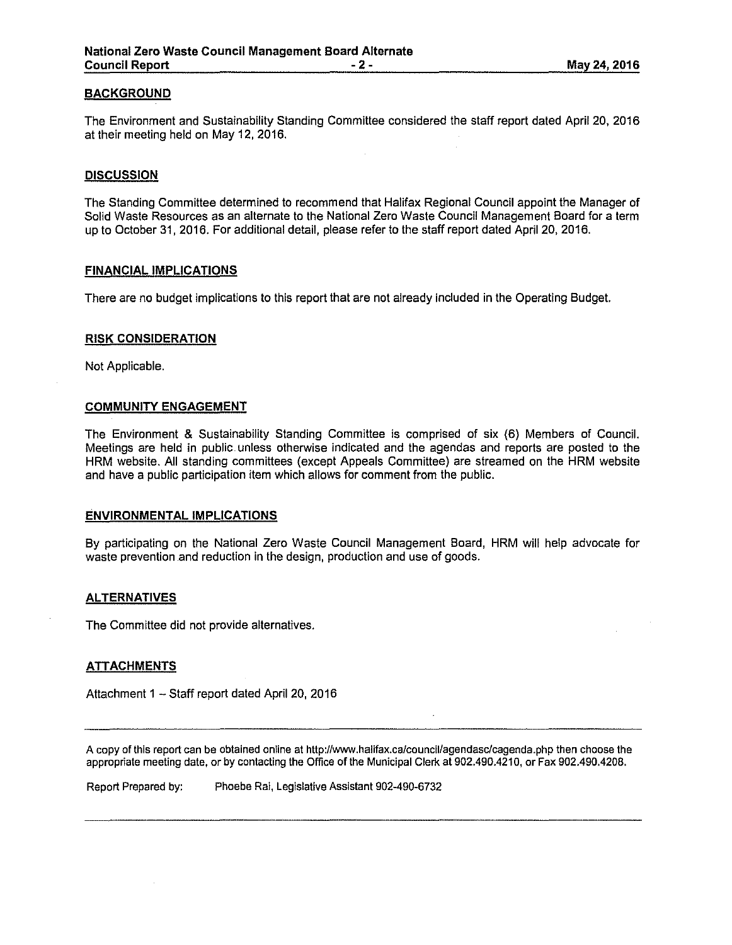# **BACKGROUND**

The Environment and Sustainability Standing Committee considered the staff report dated April 20, 2016 at their meeting held on May 12, 2016.

# **DISCUSSION**

The Standing Committee determined to recommend that Halifax Regional Council appoint the Manager of Solid Waste Resources as an alternate to the National Zero Waste Council Management Board for a term up to October 31, 2016. For additional detail, please refer to the staff report dated April 20, 2016.

## **FINANCIAL IMPLICATIONS**

There are no budget implications to this report that are not already included in the Operating Budget.

# **RISK CONSIDERATION**

Not Applicable.

## **COMMUNITY ENGAGEMENT**

The Environment & Sustainability Standing Committee is comprised of six (6) Members of Council. Meetings are held in public. unless otherwise indicated and the agendas and reports are posted to the HRM website. All standing committees (except Appeals Committee) are streamed on the HRM website and have a public participation item which allows for comment from the public.

### **ENVIRONMENTAL IMPLICATIONS**

By participating on the National Zero Waste Council Management Board, HRM will help advocate for waste prevention and reduction in the design, production and use of goods.

# **ALTERNATIVES**

The Committee did not provide alternatives.

## **ATTACHMENTS**

Attachment 1 - Staff report dated April 20, 2016

A copy of this report can be obtained online at http://www.halifax.ca/council/agendasc/cagenda.php then choose the appropriate meeting date, or by contacting the Office of the Municipal Clerk at 902.490.4210, or Fax 902.490.4208.

Report Prepared by: Phoebe Rai, Legislative Assistant 902-490-6732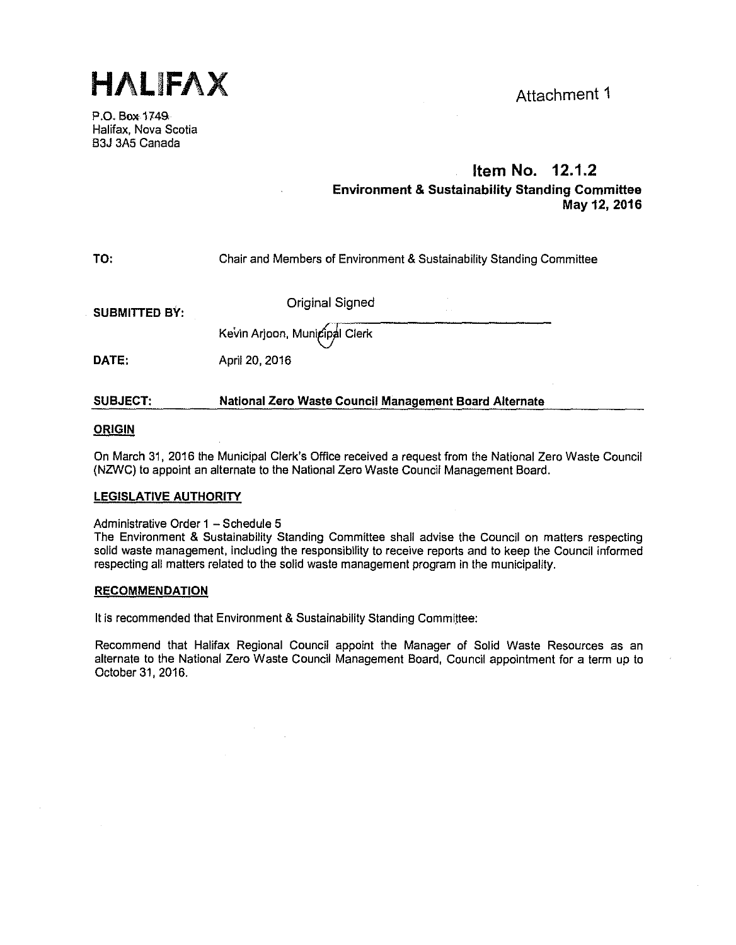**HALIFAX** Attachment 1

P.O. Box 1749. Halifax, Nova Scotia B3J 3A5 Canada

# **Item No. 12.1.2 Environment & Sustainability Standing Committee May 12, 2016**

#### **TO:**  Chair and Members of Environment & Sustainability Standing Committee

**SUBMITTED BY:** 

Original Signed

Kevin Arjoon, Municipal Clerk

**DATE:**  April 20, 2016

#### **SUBJECT: National Zero Waste Council Management Board Alternate**

# **ORIGIN**

On March 31, 2016 the Municipal Clerk's Office received a request from the National Zero Waste Council (NZWC) to appoint an alternate to the National Zero Waste Council Management Board.

# **LEGISLATIVE AUTHORITY**

# Administrative Order 1 - Schedule 5

The Environment & Sustainability Standing Committee shall advise the Council on matters respecting solid waste management, including the responsibility to receive reports and to keep the Council informed respecting all matters related to the solid waste management program in the municipality.

# **RECOMMENDATION**

It is recommended that Environment & Sustainability Standing Committee:

Recommend that Halifax Regional Council appoint the Manager of Solid Waste Resources as an alternate to the National Zero Waste Council Management Board, Council appointment for a term up to October 31, 2016.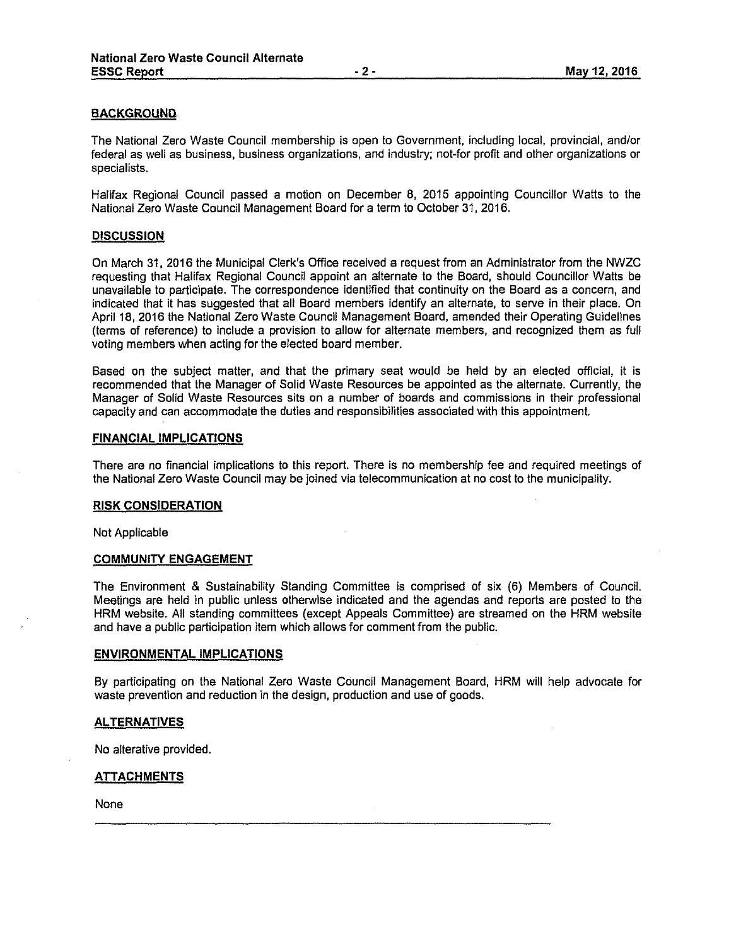# **BACKGROUND**

The National Zero Waste Council membership is open to Government, including local, provincial, and/or federal as well as business, business organizations, and industry; not-for profit and other organizations or specialists.

Halifax Regional Council passed a motion on December 8, 2015 appointing Councillor Watts to the National Zero Waste Council Management Board for a term to October 31, 2016.

### **DISCUSSION**

On March 31, 2016 the Municipal Clerk's Office received a request from an Administrator from the NWZC requesting that Halifax Regional Council appoint an alternate to the Board, should Councillor Watts be unavailable to participate. The correspondence identified that continuity on the Board as a concern, and indicated that it has suggested that all Board members identify an alternate, to serve in their place. On April 18, 2016 the National Zero Waste Council Management Board, amended their Operating Guidelines (terms of reference) to include a provision to allow for alternate members, and recognized them as full voting members when acting for the elected board member.

Based on the subject matter, and that the primary seat would be held by an elected official, it is recommended that the Manager of Solid Waste Resources be appointed as the alternate. Currently, the Manager of Solid Waste Resources sits on a number of boards and commissions in their professional capacity and can accommodate the duties and responsibilities associated with this appointment.

### **FINANCIAL IMPLICATIONS**

There are no financial implications to this report. There is no membership fee and required meetings of the National Zero Waste Council may be joined via telecommunication at no cost to the municipality.

### **RISK CONSIDERATION**

Not Applicable

### **COMMUNITY ENGAGEMENT**

The Environment & Sustainability Standing Committee is comprised of six (6) Members of Council. Meetings are held in public unless otherwise indicated and the agendas and reports are posted to the HRM website. All standing committees (except Appeals Committee) are streamed on the HRM website and have a public participation item which allows for comment from the public.

## **ENVIRONMENTAL IMPLICATIONS**

By participating on the National Zero Waste Council Management Board, HRM will help advocate for waste prevention and reduction in the design, production and use of goods.

## **ALTERNATIVES**

No alterative provided.

## **ATTACHMENTS**

None